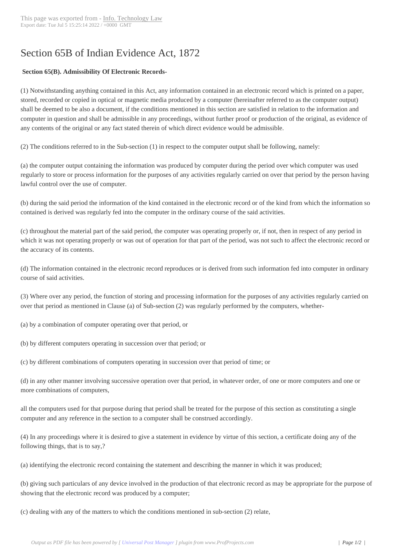# Section 65B of Ind[ian Evidence A](http://www.itlaw.in/?p=612)ct, 1872

## **Section 65(B). Admissibility Of Electronic Records-**

(1) Notwithstanding anything contained in this Act, any information contained in an electronic record which is printed on a paper, stored, recorded or copied in optical or magnetic media produced by a computer (hereinafter referred to as the computer output) shall be deemed to be also a document, if the conditions mentioned in this section are satisfied in relation to the information and computer in question and shall be admissible in any proceedings, without further proof or production of the original, as evidence of any contents of the original or any fact stated therein of which direct evidence would be admissible.

(2) The conditions referred to in the Sub-section (1) in respect to the computer output shall be following, namely:

(a) the computer output containing the information was produced by computer during the period over which computer was used regularly to store or process information for the purposes of any activities regularly carried on over that period by the person having lawful control over the use of computer.

(b) during the said period the information of the kind contained in the electronic record or of the kind from which the information so contained is derived was regularly fed into the computer in the ordinary course of the said activities.

(c) throughout the material part of the said period, the computer was operating properly or, if not, then in respect of any period in which it was not operating properly or was out of operation for that part of the period, was not such to affect the electronic record or the accuracy of its contents.

(d) The information contained in the electronic record reproduces or is derived from such information fed into computer in ordinary course of said activities.

(3) Where over any period, the function of storing and processing information for the purposes of any activities regularly carried on over that period as mentioned in Clause (a) of Sub-section (2) was regularly performed by the computers, whether-

(a) by a combination of computer operating over that period, or

(b) by different computers operating in succession over that period; or

(c) by different combinations of computers operating in succession over that period of time; or

(d) in any other manner involving successive operation over that period, in whatever order, of one or more computers and one or more combinations of computers,

all the computers used for that purpose during that period shall be treated for the purpose of this section as constituting a single computer and any reference in the section to a computer shall be construed accordingly.

(4) In any proceedings where it is desired to give a statement in evidence by virtue of this section, a certificate doing any of the following things, that is to say,?

(a) identifying the electronic record containing the statement and describing the manner in which it was produced;

(b) giving such particulars of any device involved in the production of that electronic record as may be appropriate for the purpose of showing that the electronic record was produced by a computer;

(c) dealing with any of the matters to which the conditions mentioned in sub-section (2) relate,